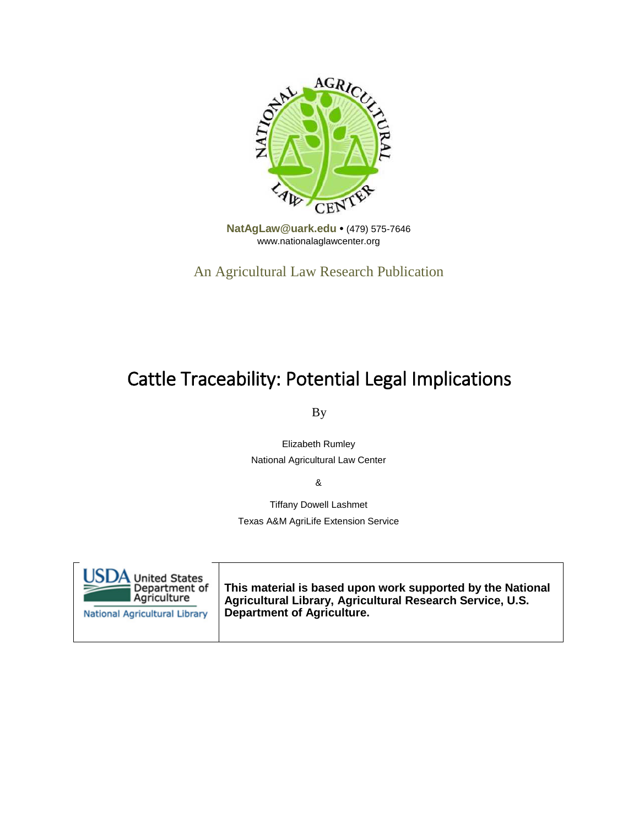

**[NatAgLaw@uark.edu •](mailto:NatAgLaw@uark.edu)** (479) 575-7646 [www.nationalaglawcenter.org](http://www.nationalaglawcenter.org/)

An Agricultural Law Research Publication

# Cattle Traceability: Potential Legal Implications

By

Elizabeth Rumley National Agricultural Law Center

&

Tiffany Dowell Lashmet Texas A&M AgriLife Extension Service

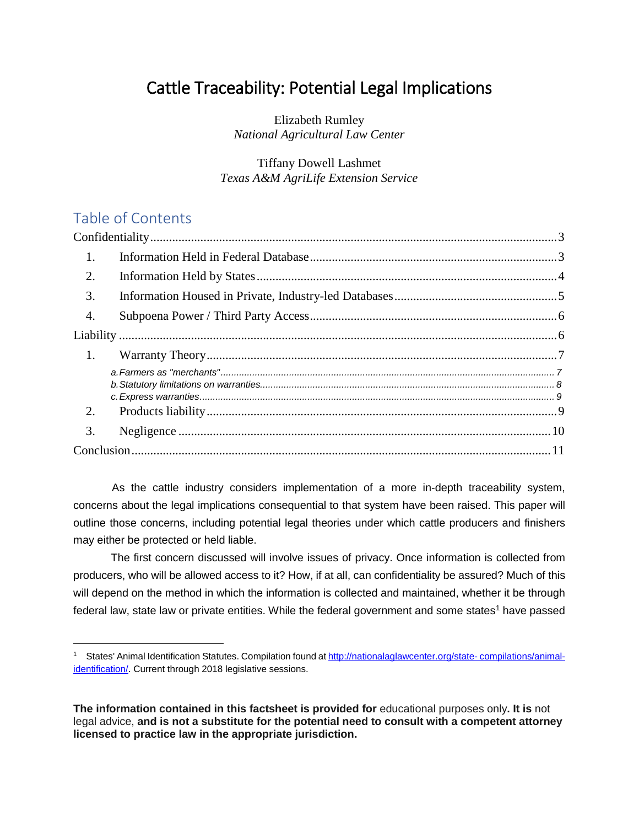## Cattle Traceability: Potential Legal Implications

Elizabeth Rumley *National Agricultural Law Center*

Tiffany Dowell Lashmet *Texas A&M AgriLife Extension Service*

### Table of Contents

-

| 1.               |  |
|------------------|--|
| $\overline{2}$ . |  |
| 3.               |  |
| $\overline{4}$ . |  |
|                  |  |
| 1.               |  |
|                  |  |
| 2.               |  |
| 3.               |  |
|                  |  |

As the cattle industry considers implementation of a more in-depth traceability system, concerns about the legal implications consequential to that system have been raised. This paper will outline those concerns, including potential legal theories under which cattle producers and finishers may either be protected or held liable.

The first concern discussed will involve issues of privacy. Once information is collected from producers, who will be allowed access to it? How, if at all, can confidentiality be assured? Much of this will depend on the method in which the information is collected and maintained, whether it be through federal law, state law or private entities. While the federal government and some states<sup>1</sup> have passed

<span id="page-1-1"></span><span id="page-1-0"></span><sup>1</sup> States' Animal Identification Statutes. Compilation found at [http://nationalaglawcenter.org/state-](http://nationalaglawcenter.org/state-compilations/animal-identification/) [compilations/animal](http://nationalaglawcenter.org/state-compilations/animal-identification/)[identification/. C](http://nationalaglawcenter.org/state-compilations/animal-identification/)urrent through 2018 legislative sessions.

**The information contained in this factsheet is provided for** educational purposes only**. It is** not legal advice, **and is not a substitute for the potential need to consult with a competent attorney licensed to practice law in the appropriate jurisdiction.**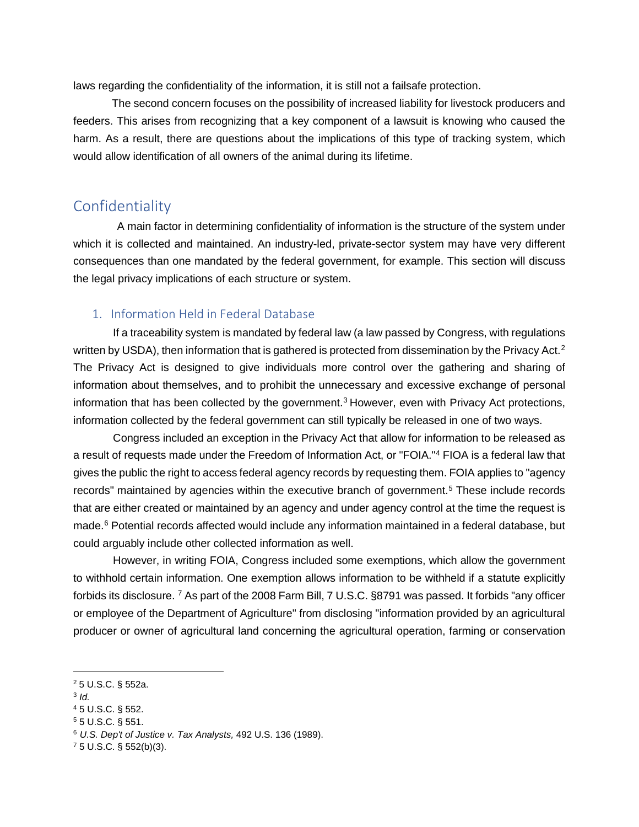laws regarding the confidentiality of the information, it is still not a failsafe protection.

<span id="page-2-2"></span>The second concern focuses on the possibility of increased liability for livestock producers and feeders. This arises from recognizing that a key component of a lawsuit is knowing who caused the harm. As a result, there are questions about the implications of this type of tracking system, which would allow identification of all owners of the animal during its lifetime.

### <span id="page-2-0"></span>Confidentiality

A main factor in determining confidentiality of information is the structure of the system under which it is collected and maintained. An industry-led, private-sector system may have very different consequences than one mandated by the federal government, for example. This section will discuss the legal privacy implications of each structure or system.

### <span id="page-2-1"></span>1. Information Held in Federal Database

If a traceability system is mandated by federal law (a law passed by Congress, with regulations written by USDA), then information that is gathered is protected from dissemination by the Privacy Act.<sup>2</sup> The Privacy Act is designed to give individuals more control over the gathering and sharing of information about themselves, and to prohibit the unnecessary and excessive exchange of personal information that has been collected by the government.<sup>3</sup> However, even with Privacy Act protections, information collected by the federal government can still typically be released in one of two ways.

Congress included an exception in the Privacy Act that allow for information to be released as a result of requests made under the Freedom of Information Act, or "FOIA.["4](#page-2-4) FIOA is a federal law that gives the public the right to access federal agency records by requesting them. FOIA applies to "agency records" maintained by agencies within the executive branch of government.<sup>5</sup> These include records that are either created or maintained by an agency and under agency control at the time the request is made[.6](#page-2-6) Potential records affected would include any information maintained in a federal database, but could arguably include other collected information as well.

However, in writing FOIA, Congress included some exemptions, which allow the government to withhold certain information. One exemption allows information to be withheld if a statute explicitly forbids its disclosure[.](#page-2-6) [7](#page-2-12) As part of the 2008 Farm Bill, 7 U.S.C. §8791 was passed. It forbids "any officer or employee of the Department of Agriculture" from disclosing "information provided by an agricultural producer or owner of agricultural land concerning the agricultural operation, farming or conservation

<span id="page-2-8"></span><span id="page-2-3"></span><sup>3</sup> *Id.*

-

<span id="page-2-10"></span><span id="page-2-5"></span><sup>5</sup> 5 U.S.C. § 551.

<span id="page-2-12"></span><sup>7</sup> 5 U.S.C. § 552(b)(3).

<span id="page-2-7"></span><sup>2</sup> 5 U.S.C. § 552a.

<span id="page-2-9"></span><span id="page-2-4"></span><sup>4</sup> 5 U.S.C. § 552.

<span id="page-2-11"></span><span id="page-2-6"></span><sup>6</sup> *U.S. Dep't of Justice v. Tax Analysts,* 492 U.S. 136 (1989).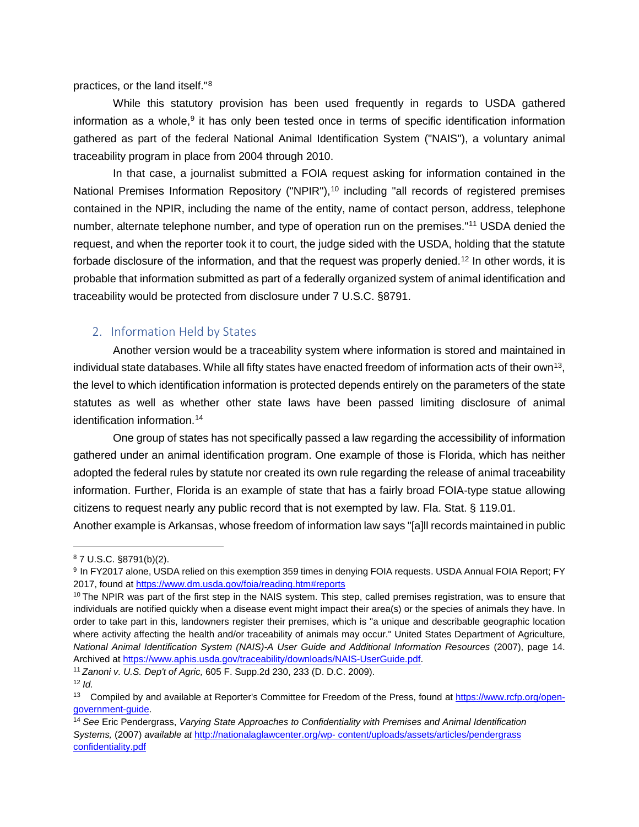practices, or the land itself.["8](#page-3-1)

While this statutory provision has been used frequently in regards to USDA gathered information as a whole, $9$  it has only been tested once in terms of specific identification information gathered as part of the federal National Animal Identification System ("NAIS"), a voluntary animal traceability program in place from 2004 through 2010.

In that case, a journalist submitted a FOIA request asking for information contained in the National Premises Information Repository ("NPIR"),<sup>10</sup> including "all records of registered premises contained in the NPIR, including the name of the entity, name of contact person, address, telephone number, alternate telephone number, and type of operation run on the premises.["11](#page-3-3) USDA denied the request, and when the reporter took it to court, the judge sided with the USDA, holding that the statute forbade disclosure of the information, and that the request was properly denied.<sup>12</sup> In other words, it is probable that information submitted as part of a federally organized system of animal identification and traceability would be protected from disclosure under 7 U.S.C. §8791.

### <span id="page-3-0"></span>2. Information Held by States

Another version would be a traceability system where information is stored and maintained in individual state databases. While all fifty states have enacted freedom of information acts of their own<sup>13</sup>, the level to which identification information is protected depends entirely on the parameters of the state statutes as well as whether other state laws have been passed limiting disclosure of animal identification information[.14](#page-3-5)

One group of states has not specifically passed a law regarding the accessibility of information gathered under an animal identification program. One example of those is Florida, which has neither adopted the federal rules by statute nor created its own rule regarding the release of animal traceability information. Further, Florida is an example of state that has a fairly broad FOIA-type statue allowing citizens to request nearly any public record that is not exempted by law. Fla. Stat. § 119.01. Another example is Arkansas, whose freedom of information law says "[a]ll records maintained in public

-

<span id="page-3-6"></span><span id="page-3-1"></span><sup>8</sup> 7 U.S.C. §8791(b)(2).

<span id="page-3-7"></span><span id="page-3-2"></span><sup>9</sup> In FY2017 alone, USDA relied on this exemption 359 times in denying FOIA requests. USDA Annual FOIA Report; FY 2017, found at [https://www.dm.usda.gov/foia/reading.htm#reports](https://www.dm.usda.gov/foia/reading.htm%23reports)

<span id="page-3-8"></span> $10$  The NPIR was part of the first step in the NAIS system. This step, called premises registration, was to ensure that individuals are notified quickly when a disease event might impact their area(s) or the species of animals they have. In order to take part in this, landowners register their premises, which is "a unique and describable geographic location where activity affecting the health and/or traceability of animals may occur." United States Department of Agriculture, *National Animal Identification System (NAIS)-A User Guide and Additional Information Resources* (2007), page 14. Archived at [https://www.aphis.usda.gov/traceability/downloads/NAIS-UserGuide.pdf.](https://www.aphis.usda.gov/traceability/downloads/NAIS-UserGuide.pdf)

<span id="page-3-9"></span><span id="page-3-3"></span><sup>11</sup> *Zanoni v. U.S. Dep't of Agric,* 605 F. Supp.2d 230, 233 (D. D.C. 2009).

<span id="page-3-10"></span><sup>12</sup> *Id.*

<span id="page-3-11"></span><span id="page-3-4"></span><sup>&</sup>lt;sup>13</sup> Compiled by and available at Reporter's Committee for Freedom of the Press, found a[t https://www.rcfp.org/open](https://www.rcfp.org/open-government-guide)[government-guide.](https://www.rcfp.org/open-government-guide)

<span id="page-3-12"></span><span id="page-3-5"></span><sup>14</sup> *See* Eric Pendergrass, *Varying State Approaches to Confidentiality with Premises and Animal Identification Systems,* (2007) *available at* [http://nationalaglawcenter.org/wp-](http://nationalaglawcenter.org/wp-content/uploads/assets/articles/pendergrass_confidentiality.pdf) [content/uploads/assets/articles/pendergrass](http://nationalaglawcenter.org/wp-content/uploads/assets/articles/pendergrass_confidentiality.pdf)  [confidentiality.pdf](http://nationalaglawcenter.org/wp-content/uploads/assets/articles/pendergrass_confidentiality.pdf)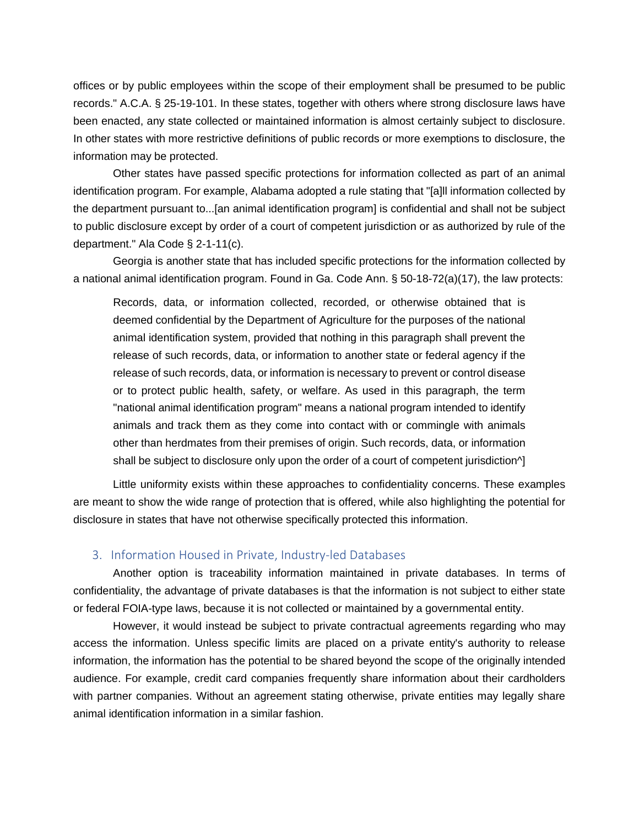offices or by public employees within the scope of their employment shall be presumed to be public records." A.C.A. § 25-19-101. In these states, together with others where strong disclosure laws have been enacted, any state collected or maintained information is almost certainly subject to disclosure. In other states with more restrictive definitions of public records or more exemptions to disclosure, the information may be protected.

Other states have passed specific protections for information collected as part of an animal identification program. For example, Alabama adopted a rule stating that "[a]ll information collected by the department pursuant to...[an animal identification program] is confidential and shall not be subject to public disclosure except by order of a court of competent jurisdiction or as authorized by rule of the department." Ala Code § 2-1-11(c).

Georgia is another state that has included specific protections for the information collected by a national animal identification program. Found in Ga. Code Ann. § 50-18-72(a)(17), the law protects:

Records, data, or information collected, recorded, or otherwise obtained that is deemed confidential by the Department of Agriculture for the purposes of the national animal identification system, provided that nothing in this paragraph shall prevent the release of such records, data, or information to another state or federal agency if the release of such records, data, or information is necessary to prevent or control disease or to protect public health, safety, or welfare. As used in this paragraph, the term "national animal identification program" means a national program intended to identify animals and track them as they come into contact with or commingle with animals other than herdmates from their premises of origin. Such records, data, or information shall be subject to disclosure only upon the order of a court of competent jurisdiction<sup> $\wedge$ </sup>

Little uniformity exists within these approaches to confidentiality concerns. These examples are meant to show the wide range of protection that is offered, while also highlighting the potential for disclosure in states that have not otherwise specifically protected this information.

#### <span id="page-4-0"></span>3. Information Housed in Private, Industry-led Databases

Another option is traceability information maintained in private databases. In terms of confidentiality, the advantage of private databases is that the information is not subject to either state or federal FOIA-type laws, because it is not collected or maintained by a governmental entity.

However, it would instead be subject to private contractual agreements regarding who may access the information. Unless specific limits are placed on a private entity's authority to release information, the information has the potential to be shared beyond the scope of the originally intended audience. For example, credit card companies frequently share information about their cardholders with partner companies. Without an agreement stating otherwise, private entities may legally share animal identification information in a similar fashion.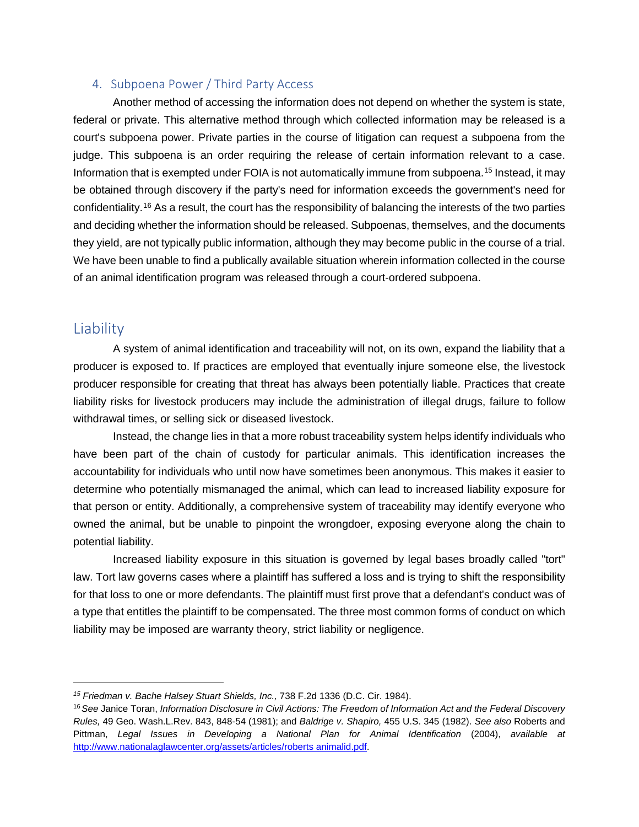### <span id="page-5-0"></span>4. Subpoena Power / Third Party Access

Another method of accessing the information does not depend on whether the system is state, federal or private. This alternative method through which collected information may be released is a court's subpoena power. Private parties in the course of litigation can request a subpoena from the judge. This subpoena is an order requiring the release of certain information relevant to a case. Information that is exempted under FOIA is not automatically immune from subpoena.<sup>15</sup> Instead, it may be obtained through discovery if the party's need for information exceeds the government's need for confidentiality[.16](#page-5-3) As a result, the court has the responsibility of balancing the interests of the two parties and deciding whether the information should be released. Subpoenas, themselves, and the documents they yield, are not typically public information, although they may become public in the course of a trial. We have been unable to find a publically available situation wherein information collected in the course of an animal identification program was released through a court-ordered subpoena.

### <span id="page-5-1"></span>**Liability**

<u>.</u>

A system of animal identification and traceability will not, on its own, expand the liability that a producer is exposed to. If practices are employed that eventually injure someone else, the livestock producer responsible for creating that threat has always been potentially liable. Practices that create liability risks for livestock producers may include the administration of illegal drugs, failure to follow withdrawal times, or selling sick or diseased livestock.

Instead, the change lies in that a more robust traceability system helps identify individuals who have been part of the chain of custody for particular animals. This identification increases the accountability for individuals who until now have sometimes been anonymous. This makes it easier to determine who potentially mismanaged the animal, which can lead to increased liability exposure for that person or entity. Additionally, a comprehensive system of traceability may identify everyone who owned the animal, but be unable to pinpoint the wrongdoer, exposing everyone along the chain to potential liability.

Increased liability exposure in this situation is governed by legal bases broadly called "tort" law. Tort law governs cases where a plaintiff has suffered a loss and is trying to shift the responsibility for that loss to one or more defendants. The plaintiff must first prove that a defendant's conduct was of a type that entitles the plaintiff to be compensated. The three most common forms of conduct on which liability may be imposed are warranty theory, strict liability or negligence.

<span id="page-5-2"></span>*<sup>15</sup> Friedman v. Bache Halsey Stuart Shields, Inc.,* 738 F.2d 1336 (D.C. Cir. 1984).

<span id="page-5-5"></span><span id="page-5-4"></span><span id="page-5-3"></span><sup>16</sup>*See* Janice Toran, *Information Disclosure in Civil Actions: The Freedom of Information Act and the Federal Discovery Rules,* 49 Geo. Wash.L.Rev. 843, 848-54 (1981); and *Baldrige v. Shapiro,* 455 U.S. 345 (1982). *See also* Roberts and Pittman, *Legal Issues in Developing a National Plan for Animal Identification* (2004), *available at*  [http://www.nationalaglawcenter.org/assets/articles/roberts animalid.pdf.](http://www.nationalaglawcenter.org/assets/articles/roberts_animalid.pdf)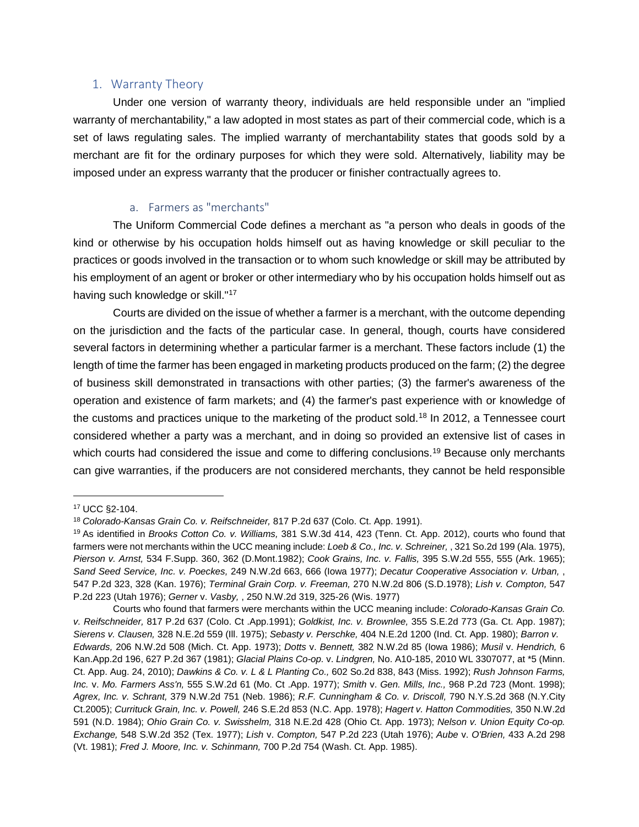#### <span id="page-6-0"></span>1. Warranty Theory

Under one version of warranty theory, individuals are held responsible under an "implied warranty of merchantability," a law adopted in most states as part of their commercial code, which is a set of laws regulating sales. The implied warranty of merchantability states that goods sold by a merchant are fit for the ordinary purposes for which they were sold. Alternatively, liability may be imposed under an express warranty that the producer or finisher contractually agrees to.

### a. Farmers as "merchants"

<span id="page-6-1"></span>The Uniform Commercial Code defines a merchant as "a person who deals in goods of the kind or otherwise by his occupation holds himself out as having knowledge or skill peculiar to the practices or goods involved in the transaction or to whom such knowledge or skill may be attributed by his employment of an agent or broker or other intermediary who by his occupation holds himself out as having such knowledge or skill.["17](#page-6-2)

Courts are divided on the issue of whether a farmer is a merchant, with the outcome depending on the jurisdiction and the facts of the particular case. In general, though, courts have considered several factors in determining whether a particular farmer is a merchant. These factors include (1) the length of time the farmer has been engaged in marketing products produced on the farm; (2) the degree of business skill demonstrated in transactions with other parties; (3) the farmer's awareness of the operation and existence of farm markets; and (4) the farmer's past experience with or knowledge of the customs and practices unique to the marketing of the product sold.<sup>18</sup> In 2012, a Tennessee court considered whether a party was a merchant, and in doing so provided an extensive list of cases in which courts had considered the issue and come to differing conclusions.<sup>19</sup> Because only merchants can give warranties, if the producers are not considered merchants, they cannot be held responsible

-

<span id="page-6-4"></span><span id="page-6-2"></span><sup>17</sup> UCC §2-104.

<span id="page-6-5"></span><sup>18</sup> *Colorado-Kansas Grain Co. v. Reifschneider,* 817 P.2d 637 (Colo. Ct. App. 1991).

<span id="page-6-6"></span><span id="page-6-3"></span><sup>19</sup> As identified in *Brooks Cotton Co. v. Williams,* 381 S.W.3d 414, 423 (Tenn. Ct. App. 2012), courts who found that farmers were not merchants within the UCC meaning include: *Loeb & Co., Inc. v. Schreiner,* , 321 So.2d 199 (Ala. 1975), *Pierson v. Arnst,* 534 F.Supp. 360, 362 (D.Mont.1982); *Cook Grains, Inc. v. Fallis,* 395 S.W.2d 555, 555 (Ark. 1965); *Sand Seed Service, Inc. v. Poeckes,* 249 N.W.2d 663, 666 (Iowa 1977); *Decatur Cooperative Association v. Urban,* , 547 P.2d 323, 328 (Kan. 1976); *Terminal Grain Corp. v. Freeman,* 270 N.W.2d 806 (S.D.1978); *Lish v. Compton,* 547 P.2d 223 (Utah 1976); *Gerner* v. *Vasby,* , 250 N.W.2d 319, 325-26 (Wis. 1977)

<span id="page-6-7"></span>Courts who found that farmers were merchants within the UCC meaning include: *Colorado-Kansas Grain Co. v. Reifschneider,* 817 P.2d 637 (Colo. Ct .App.1991); *Goldkist, Inc. v. Brownlee,* 355 S.E.2d 773 (Ga. Ct. App. 1987); *Sierens v. Clausen,* 328 N.E.2d 559 (Ill. 1975); *Sebasty v. Perschke,* 404 N.E.2d 1200 (Ind. Ct. App. 1980); *Barron v. Edwards,* 206 N.W.2d 508 (Mich. Ct. App. 1973); *Dotts* v. *Bennett,* 382 N.W.2d 85 (Iowa 1986); *Musil* v. *Hendrich,* 6 Kan.App.2d 196, 627 P.2d 367 (1981); *Glacial Plains Co-op.* v. *Lindgren,* No. A10-185, 2010 WL 3307077, at \*5 (Minn. Ct. App. Aug. 24, 2010); *Dawkins & Co. v. L & L Planting Co.,* 602 So.2d 838, 843 (Miss. 1992); *Rush Johnson Farms, Inc.* v. *Mo. Farmers Ass'n,* 555 S.W.2d 61 (Mo. Ct .App. 1977); *Smith* v. *Gen. Mills, Inc.,* 968 P.2d 723 (Mont. 1998); *Agrex, Inc. v. Schrant,* 379 N.W.2d 751 (Neb. 1986); *R.F. Cunningham & Co. v. Driscoll,* 790 N.Y.S.2d 368 (N.Y.City Ct.2005); *Currituck Grain, Inc. v. Powell,* 246 S.E.2d 853 (N.C. App. 1978); *Hagert v. Hatton Commodities,* 350 N.W.2d 591 (N.D. 1984); *Ohio Grain Co. v. Swisshelm,* 318 N.E.2d 428 (Ohio Ct. App. 1973); *Nelson v. Union Equity Co-op. Exchange,* 548 S.W.2d 352 (Tex. 1977); *Lish* v. *Compton,* 547 P.2d 223 (Utah 1976); *Aube* v. *O'Brien,* 433 A.2d 298 (Vt. 1981); *Fred J. Moore, Inc. v. Schinmann,* 700 P.2d 754 (Wash. Ct. App. 1985).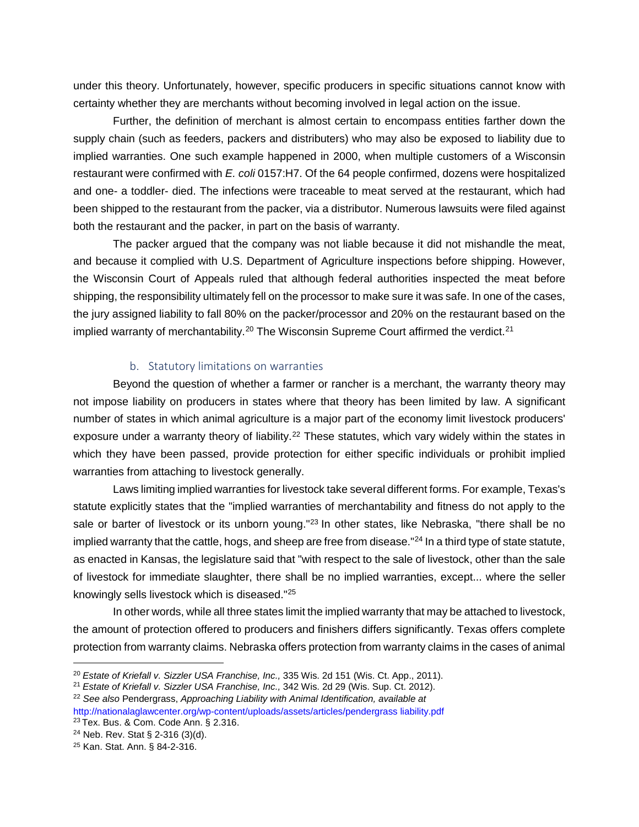under this theory. Unfortunately, however, specific producers in specific situations cannot know with certainty whether they are merchants without becoming involved in legal action on the issue.

Further, the definition of merchant is almost certain to encompass entities farther down the supply chain (such as feeders, packers and distributers) who may also be exposed to liability due to implied warranties. One such example happened in 2000, when multiple customers of a Wisconsin restaurant were confirmed with *E. coli* 0157:H7. Of the 64 people confirmed, dozens were hospitalized and one- a toddler- died. The infections were traceable to meat served at the restaurant, which had been shipped to the restaurant from the packer, via a distributor. Numerous lawsuits were filed against both the restaurant and the packer, in part on the basis of warranty.

The packer argued that the company was not liable because it did not mishandle the meat, and because it complied with U.S. Department of Agriculture inspections before shipping. However, the Wisconsin Court of Appeals ruled that although federal authorities inspected the meat before shipping, the responsibility ultimately fell on the processor to make sure it was safe. In one of the cases, the jury assigned liability to fall 80% on the packer/processor and 20% on the restaurant based on the implied warranty of merchantability.<sup>20</sup> The Wisconsin Supreme Court affirmed the verdict.<sup>21</sup>

### b. Statutory limitations on warranties

<span id="page-7-0"></span>Beyond the question of whether a farmer or rancher is a merchant, the warranty theory may not impose liability on producers in states where that theory has been limited by law. A significant number of states in which animal agriculture is a major part of the economy limit livestock producers' exposure under a warranty theory of liability.<sup>22</sup> These statutes, which vary widely within the states in which they have been passed, provide protection for either specific individuals or prohibit implied warranties from attaching to livestock generally.

Laws limiting implied warranties for livestock take several different forms. For example, Texas's statute explicitly states that the "implied warranties of merchantability and fitness do not apply to the sale or barter of livestock or its unborn young."<sup>23</sup> In other states, like Nebraska, "there shall be no implied warranty that the cattle, hogs, and sheep are free from disease."<sup>24</sup> In a third type of state statute, as enacted in Kansas, the legislature said that "with respect to the sale of livestock, other than the sale of livestock for immediate slaughter, there shall be no implied warranties, except... where the seller knowingly sells livestock which is diseased.["25](#page-7-4)

In other words, while all three states limit the implied warranty that may be attached to livestock, the amount of protection offered to producers and finishers differs significantly. Texas offers complete protection from warranty claims. Nebraska offers protection from warranty claims in the cases of animal

<u>.</u>

<span id="page-7-5"></span><sup>20</sup> *Estate of Kriefall v. Sizzler USA Franchise, Inc.,* 335 Wis. 2d 151 (Wis. Ct. App., 2011).

<span id="page-7-7"></span><span id="page-7-6"></span><span id="page-7-1"></span><sup>21</sup> *Estate of Kriefall v. Sizzler USA Franchise, Inc.,* 342 Wis. 2d 29 (Wis. Sup. Ct. 2012).

<span id="page-7-2"></span><sup>22</sup> *See also* Pendergrass, *Approaching Liability with Animal Identification, available at*

<span id="page-7-8"></span><span id="page-7-3"></span>[http://nationalaglawcenter.org/wp-content/uploads/assets/articles/pendergrass liability.pdf](http://nationalaglawcenter.org/wp-content/uploads/assets/articles/pendergrass_liability.pdf) <sup>23</sup> Tex. Bus. & Com. Code Ann. § 2.316.

<span id="page-7-9"></span><span id="page-7-4"></span><sup>24</sup> Neb. Rev. Stat § 2-316 (3)(d).

<span id="page-7-10"></span><sup>25</sup> Kan. Stat. Ann. § 84-2-316.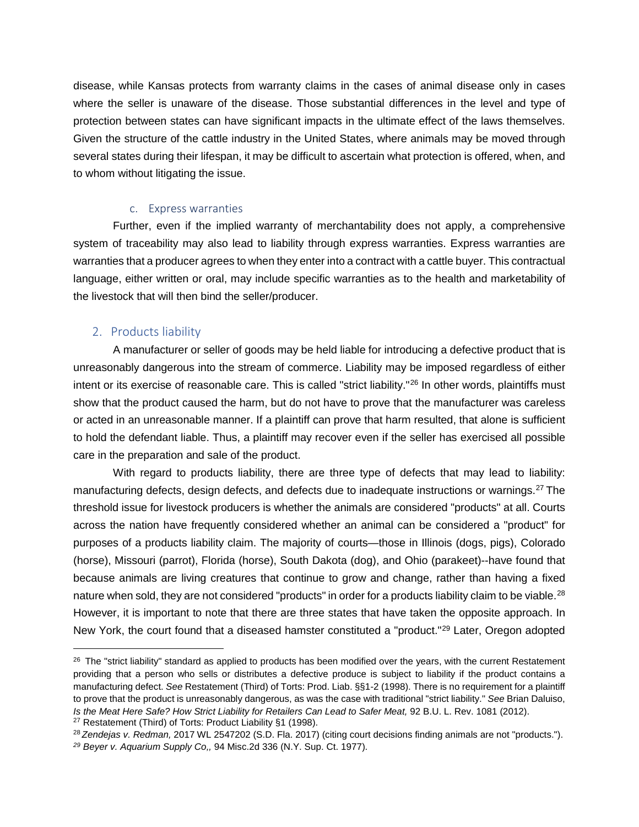disease, while Kansas protects from warranty claims in the cases of animal disease only in cases where the seller is unaware of the disease. Those substantial differences in the level and type of protection between states can have significant impacts in the ultimate effect of the laws themselves. Given the structure of the cattle industry in the United States, where animals may be moved through several states during their lifespan, it may be difficult to ascertain what protection is offered, when, and to whom without litigating the issue.

#### c. Express warranties

<span id="page-8-0"></span>Further, even if the implied warranty of merchantability does not apply, a comprehensive system of traceability may also lead to liability through express warranties. Express warranties are warranties that a producer agrees to when they enter into a contract with a cattle buyer. This contractual language, either written or oral, may include specific warranties as to the health and marketability of the livestock that will then bind the seller/producer.

### <span id="page-8-1"></span>2. Products liability

-

A manufacturer or seller of goods may be held liable for introducing a defective product that is unreasonably dangerous into the stream of commerce. Liability may be imposed regardless of either intent or its exercise of reasonable care. This is called "strict liability."<sup>26</sup> In other words, plaintiffs must show that the product caused the harm, but do not have to prove that the manufacturer was careless or acted in an unreasonable manner. If a plaintiff can prove that harm resulted, that alone is sufficient to hold the defendant liable. Thus, a plaintiff may recover even if the seller has exercised all possible care in the preparation and sale of the product.

With regard to products liability, there are three type of defects that may lead to liability: manufacturing defects, design defects, and defects due to inadequate instructions or warnings[.27](#page-8-3) The threshold issue for livestock producers is whether the animals are considered "products" at all. Courts across the nation have frequently considered whether an animal can be considered a "product" for purposes of a products liability claim. The majority of courts—those in Illinois (dogs, pigs), Colorado (horse), Missouri (parrot), Florida (horse), South Dakota (dog), and Ohio (parakeet)--have found that because animals are living creatures that continue to grow and change, rather than having a fixed nature when sold, they are not considered "products" in order for a products liability claim to be viable.<sup>28</sup> However, it is important to note that there are three states that have taken the opposite approach. In New York, the court found that a diseased hamster constituted a "product.["29](#page-8-5) Later, Oregon adopted

<span id="page-8-6"></span><span id="page-8-2"></span><sup>&</sup>lt;sup>26</sup> The "strict liability" standard as applied to products has been modified over the years, with the current Restatement providing that a person who sells or distributes a defective produce is subject to liability if the product contains a manufacturing defect. *See* Restatement (Third) of Torts: Prod. Liab. §§1-2 (1998). There is no requirement for a plaintiff to prove that the product is unreasonably dangerous, as was the case with traditional "strict liability." *See* Brian Daluiso, *Is the Meat Here Safe? How Strict Liability for Retailers Can Lead to Safer Meat,* 92 B.U. L. Rev. 1081 (2012).

<span id="page-8-7"></span><span id="page-8-3"></span><sup>&</sup>lt;sup>27</sup> Restatement (Third) of Torts: Product Liability §1 (1998).

<span id="page-8-9"></span><span id="page-8-8"></span><span id="page-8-5"></span><span id="page-8-4"></span><sup>28</sup> *Zendejas v. Redman,* 2017 WL 2547202 (S.D. Fla. 2017) (citing court decisions finding animals are not "products."). *<sup>29</sup> Beyer v. Aquarium Supply Co,,* 94 Misc.2d 336 (N.Y. Sup. Ct. 1977).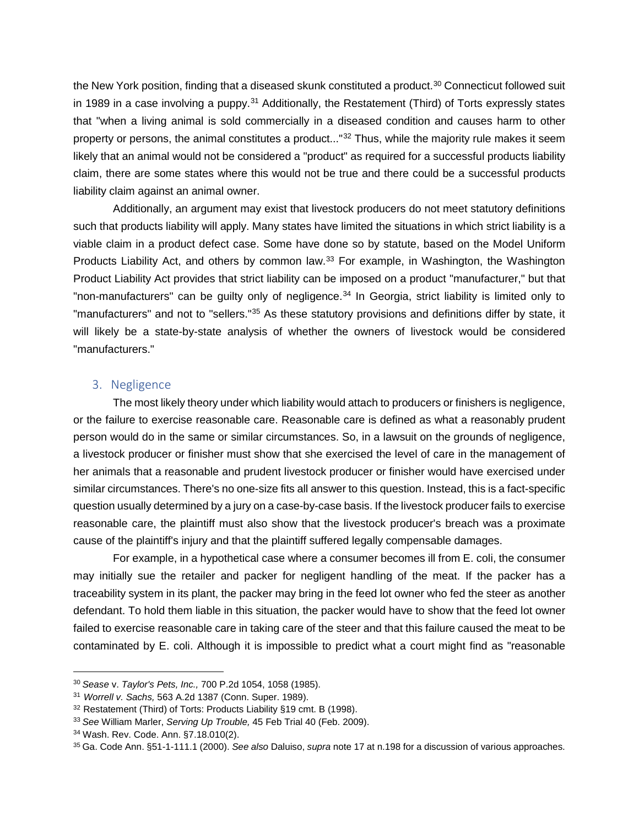the New York position, finding that a diseased skunk constituted a product.<sup>30</sup> Connecticut followed suit in 1989 in a case involving a puppy.<sup>31</sup> Additionally, the Restatement (Third) of Torts expressly states that "when a living animal is sold commercially in a diseased condition and causes harm to other property or persons, the animal constitutes a product..."<sup>32</sup> Thus, while the majority rule makes it seem likely that an animal would not be considered a "product" as required for a successful products liability claim, there are some states where this would not be true and there could be a successful products liability claim against an animal owner.

Additionally, an argument may exist that livestock producers do not meet statutory definitions such that products liability will apply. Many states have limited the situations in which strict liability is a viable claim in a product defect case. Some have done so by statute, based on the Model Uniform Products Liability Act, and others by common law.<sup>33</sup> For example, in Washington, the Washington Product Liability Act provides that strict liability can be imposed on a product "manufacturer," but that "non-manufacturers" can be guilty only of negligence. $34$  In Georgia, strict liability is limited only to "manufacturers" and not to "sellers."<sup>35</sup> As these statutory provisions and definitions differ by state, it will likely be a state-by-state analysis of whether the owners of livestock would be considered "manufacturers."

### <span id="page-9-0"></span>3. Negligence

The most likely theory under which liability would attach to producers or finishers is negligence, or the failure to exercise reasonable care. Reasonable care is defined as what a reasonably prudent person would do in the same or similar circumstances. So, in a lawsuit on the grounds of negligence, a livestock producer or finisher must show that she exercised the level of care in the management of her animals that a reasonable and prudent livestock producer or finisher would have exercised under similar circumstances. There's no one-size fits all answer to this question. Instead, this is a fact-specific question usually determined by a jury on a case-by-case basis. If the livestock producer fails to exercise reasonable care, the plaintiff must also show that the livestock producer's breach was a proximate cause of the plaintiff's injury and that the plaintiff suffered legally compensable damages.

For example, in a hypothetical case where a consumer becomes ill from E. coli, the consumer may initially sue the retailer and packer for negligent handling of the meat. If the packer has a traceability system in its plant, the packer may bring in the feed lot owner who fed the steer as another defendant. To hold them liable in this situation, the packer would have to show that the feed lot owner failed to exercise reasonable care in taking care of the steer and that this failure caused the meat to be contaminated by E. coli. Although it is impossible to predict what a court might find as "reasonable

-

<span id="page-9-5"></span><sup>30</sup> *Sease* v. *Taylor's Pets, Inc.,* 700 P.2d 1054, 1058 (1985).

<span id="page-9-6"></span><span id="page-9-1"></span><sup>31</sup> *Worrell v. Sachs,* 563 A.2d 1387 (Conn. Super. 1989).

<span id="page-9-7"></span><span id="page-9-2"></span><sup>32</sup> Restatement (Third) of Torts: Products Liability §19 cmt. B (1998).

<span id="page-9-8"></span><span id="page-9-3"></span><sup>33</sup> *See* William Marler, *Serving Up Trouble,* 45 Feb Trial 40 (Feb. 2009).

<span id="page-9-9"></span><span id="page-9-4"></span><sup>34</sup> Wash. Rev. Code. Ann. §7.18.010(2).

<span id="page-9-10"></span><sup>35</sup> Ga. Code Ann. §51-1-111.1 (2000). *See also* Daluiso, *supra* note 17 at n.198 for a discussion of various approaches.